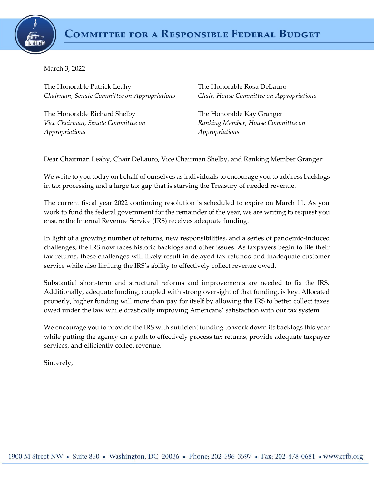

March 3, 2022

The Honorable Patrick Leahy *Chairman, Senate Committee on Appropriations*

The Honorable Richard Shelby *Vice Chairman, Senate Committee on Appropriations*

The Honorable Rosa DeLauro *Chair, House Committee on Appropriations*

The Honorable Kay Granger *Ranking Member, House Committee on Appropriations*

Dear Chairman Leahy, Chair DeLauro, Vice Chairman Shelby, and Ranking Member Granger:

We write to you today on behalf of ourselves as individuals to encourage you to address backlogs in tax processing and a large tax gap that is starving the Treasury of needed revenue.

The current fiscal year 2022 continuing resolution is scheduled to expire on March 11. As you work to fund the federal government for the remainder of the year, we are writing to request you ensure the Internal Revenue Service (IRS) receives adequate funding.

In light of a growing number of returns, new responsibilities, and a series of pandemic-induced challenges, the IRS now faces historic backlogs and other issues. As taxpayers begin to file their tax returns, these challenges will likely result in delayed tax refunds and inadequate customer service while also limiting the IRS's ability to effectively collect revenue owed.

Substantial short-term and structural reforms and improvements are needed to fix the IRS. Additionally, adequate funding, coupled with strong oversight of that funding, is key. Allocated properly, higher funding will more than pay for itself by allowing the IRS to better collect taxes owed under the law while drastically improving Americans' satisfaction with our tax system.

We encourage you to provide the IRS with sufficient funding to work down its backlogs this year while putting the agency on a path to effectively process tax returns, provide adequate taxpayer services, and efficiently collect revenue.

Sincerely,